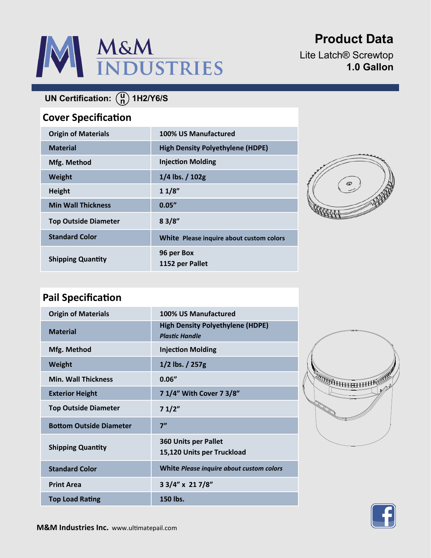

**Product Data**

Lite Latch® Screwtop **1.0 Gallon**

# **UN Certification:** (a) 1H2/Y6/S

### **Cover Specification**

| <b>Origin of Materials</b>  | 100% US Manufactured                     |
|-----------------------------|------------------------------------------|
| <b>Material</b>             | <b>High Density Polyethylene (HDPE)</b>  |
| Mfg. Method                 | <b>Injection Molding</b>                 |
| Weight                      | $1/4$ lbs. $/ 102g$                      |
| <b>Height</b>               | 11/8"                                    |
| <b>Min Wall Thickness</b>   | 0.05''                                   |
| <b>Top Outside Diameter</b> | 83/8"                                    |
| <b>Standard Color</b>       | White Please inquire about custom colors |
| <b>Shipping Quantity</b>    | 96 per Box<br>1152 per Pallet            |



## **Pail Specification**

| <b>Origin of Materials</b>     | 100% US Manufactured                                             |
|--------------------------------|------------------------------------------------------------------|
| <b>Material</b>                | <b>High Density Polyethylene (HDPE)</b><br><b>Plastic Handle</b> |
| Mfg. Method                    | <b>Injection Molding</b>                                         |
| Weight                         | $1/2$ lbs. $/ 257g$                                              |
| <b>Min. Wall Thickness</b>     | 0.06''                                                           |
| <b>Exterior Height</b>         | 7 1/4" With Cover 7 3/8"                                         |
| <b>Top Outside Diameter</b>    | 71/2"                                                            |
| <b>Bottom Outside Diameter</b> | 7"                                                               |
| <b>Shipping Quantity</b>       | <b>360 Units per Pallet</b><br>15,120 Units per Truckload        |
| <b>Standard Color</b>          | White Please inquire about custom colors                         |
| <b>Print Area</b>              | 3 3/4" x 21 7/8"                                                 |
| <b>Top Load Rating</b>         | 150 lbs.                                                         |